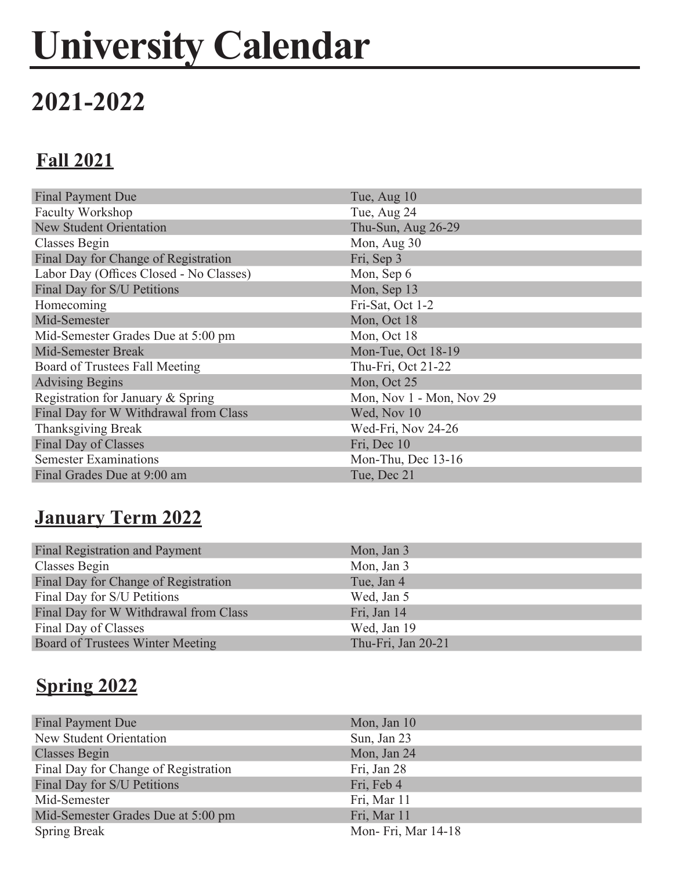# **University Calendar**

# **2021-2022**

## **Fall 2021**

| <b>Final Payment Due</b>                | Tue, Aug 10              |
|-----------------------------------------|--------------------------|
| Faculty Workshop                        | Tue, Aug 24              |
| <b>New Student Orientation</b>          | Thu-Sun, Aug 26-29       |
| Classes Begin                           | Mon, Aug 30              |
| Final Day for Change of Registration    | Fri, Sep 3               |
| Labor Day (Offices Closed - No Classes) | Mon, Sep 6               |
| Final Day for S/U Petitions             | Mon, Sep 13              |
| Homecoming                              | Fri-Sat, Oct 1-2         |
| Mid-Semester                            | Mon, Oct 18              |
| Mid-Semester Grades Due at 5:00 pm      | Mon, Oct 18              |
| <b>Mid-Semester Break</b>               | Mon-Tue, Oct 18-19       |
| Board of Trustees Fall Meeting          | Thu-Fri, Oct 21-22       |
| <b>Advising Begins</b>                  | Mon, Oct 25              |
| Registration for January & Spring       | Mon, Nov 1 - Mon, Nov 29 |
| Final Day for W Withdrawal from Class   | Wed, Nov 10              |
| Thanksgiving Break                      | Wed-Fri, Nov 24-26       |
| Final Day of Classes                    | Fri, Dec 10              |
| <b>Semester Examinations</b>            | Mon-Thu, Dec 13-16       |
| Final Grades Due at 9:00 am             | Tue, Dec 21              |

#### **January Term 2022**

| Final Registration and Payment        | Mon, Jan 3         |
|---------------------------------------|--------------------|
| Classes Begin                         | Mon, Jan 3         |
| Final Day for Change of Registration  | Tue, Jan 4         |
| Final Day for S/U Petitions           | Wed, Jan 5         |
| Final Day for W Withdrawal from Class | Fri, Jan 14        |
| Final Day of Classes                  | Wed, Jan 19        |
| Board of Trustees Winter Meeting      | Thu-Fri, Jan 20-21 |

### **Spring 2022**

| Final Payment Due                    | Mon, Jan $10$       |
|--------------------------------------|---------------------|
| New Student Orientation              | Sun, Jan 23         |
| <b>Classes Begin</b>                 | Mon, Jan 24         |
| Final Day for Change of Registration | Fri, Jan 28         |
| Final Day for S/U Petitions          | Fri, Feb 4          |
| Mid-Semester                         | Fri, Mar 11         |
| Mid-Semester Grades Due at 5:00 pm   | Fri, Mar 11         |
| <b>Spring Break</b>                  | Mon- Fri, Mar 14-18 |
|                                      |                     |